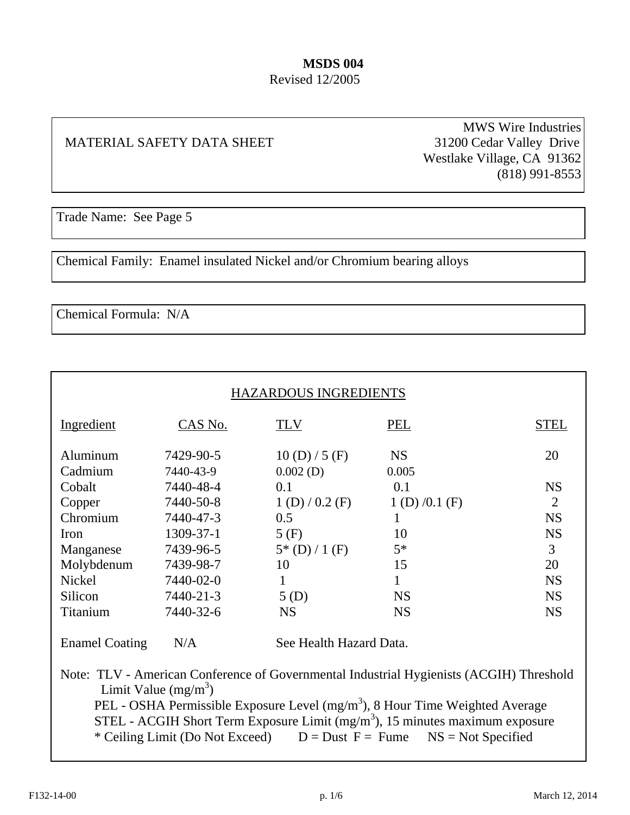#### **MSDS 004**  Revised 12/2005

#### MATERIAL SAFETY DATA SHEET 31200 Cedar Valley Drive

MWS Wire Industries Westlake Village, CA 91362 (818) 991-8553

Trade Name: See Page 5

Chemical Family: Enamel insulated Nickel and/or Chromium bearing alloys

Chemical Formula: N/A

 $\overline{a}$ 

| HAZARDOUS INGREDIENTS |           |                         |              |                |
|-----------------------|-----------|-------------------------|--------------|----------------|
| Ingredient            | CAS No.   | <b>TLV</b>              | PEL          | <b>STEL</b>    |
| Aluminum              | 7429-90-5 | 10(D)/5(F)              | <b>NS</b>    | 20             |
| Cadmium               | 7440-43-9 | $0.002$ (D)             | 0.005        |                |
| Cobalt                | 7440-48-4 | 0.1                     | 0.1          | <b>NS</b>      |
| Copper                | 7440-50-8 | 1(D)/0.2(F)             | 1(D)/0.1(F)  | $\overline{2}$ |
| Chromium              | 7440-47-3 | 0.5                     | $\mathbf{1}$ | <b>NS</b>      |
| Iron                  | 1309-37-1 | 5(F)                    | 10           | <b>NS</b>      |
| Manganese             | 7439-96-5 | $5*(D)/1(F)$            | $5*$         | 3              |
| Molybdenum            | 7439-98-7 | 10                      | 15           | 20             |
| Nickel                | 7440-02-0 | 1                       | $\mathbf{1}$ | <b>NS</b>      |
| Silicon               | 7440-21-3 | 5(D)                    | <b>NS</b>    | <b>NS</b>      |
| Titanium              | 7440-32-6 | <b>NS</b>               | <b>NS</b>    | <b>NS</b>      |
| <b>Enamel Coating</b> | N/A       | See Health Hazard Data. |              |                |

 Note: TLV - American Conference of Governmental Industrial Hygienists (ACGIH) Threshold Limit Value  $(mg/m<sup>3</sup>)$ PEL - OSHA Permissible Exposure Level  $(mg/m<sup>3</sup>)$ , 8 Hour Time Weighted Average STEL - ACGIH Short Term Exposure Limit  $(mg/m<sup>3</sup>)$ , 15 minutes maximum exposure \* Ceiling Limit (Do Not Exceed)  $D = \text{Dust } F = \text{Fume}$  NS = Not Specified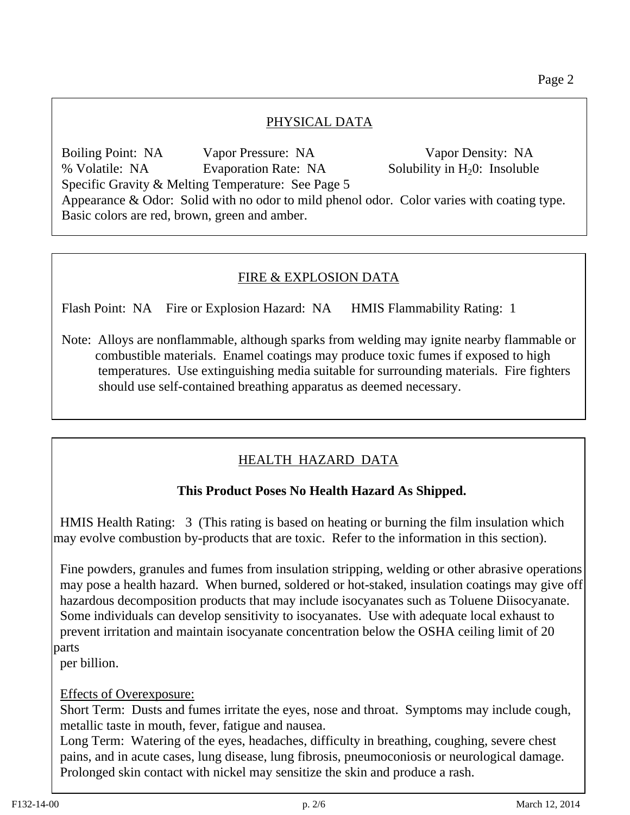### PHYSICAL DATA

 Boiling Point: NA Vapor Pressure: NA Vapor Density: NA % Volatile: NA Evaporation Rate: NA Solubility in H<sub>2</sub>0: Insoluble Specific Gravity & Melting Temperature: See Page 5 Appearance & Odor: Solid with no odor to mild phenol odor. Color varies with coating type. Basic colors are red, brown, green and amber.

## FIRE & EXPLOSION DATA

Flash Point: NA Fire or Explosion Hazard: NA HMIS Flammability Rating: 1

 Note: Alloys are nonflammable, although sparks from welding may ignite nearby flammable or combustible materials. Enamel coatings may produce toxic fumes if exposed to high temperatures. Use extinguishing media suitable for surrounding materials. Fire fighters should use self-contained breathing apparatus as deemed necessary.

# HEALTH HAZARD DATA

#### **This Product Poses No Health Hazard As Shipped.**

 HMIS Health Rating: 3 (This rating is based on heating or burning the film insulation which may evolve combustion by-products that are toxic. Refer to the information in this section).

 Fine powders, granules and fumes from insulation stripping, welding or other abrasive operations may pose a health hazard. When burned, soldered or hot-staked, insulation coatings may give off hazardous decomposition products that may include isocyanates such as Toluene Diisocyanate. Some individuals can develop sensitivity to isocyanates. Use with adequate local exhaust to prevent irritation and maintain isocyanate concentration below the OSHA ceiling limit of 20 parts

per billion.

#### Effects of Overexposure:

 Short Term: Dusts and fumes irritate the eyes, nose and throat. Symptoms may include cough, metallic taste in mouth, fever, fatigue and nausea.

 Long Term: Watering of the eyes, headaches, difficulty in breathing, coughing, severe chest pains, and in acute cases, lung disease, lung fibrosis, pneumoconiosis or neurological damage. Prolonged skin contact with nickel may sensitize the skin and produce a rash.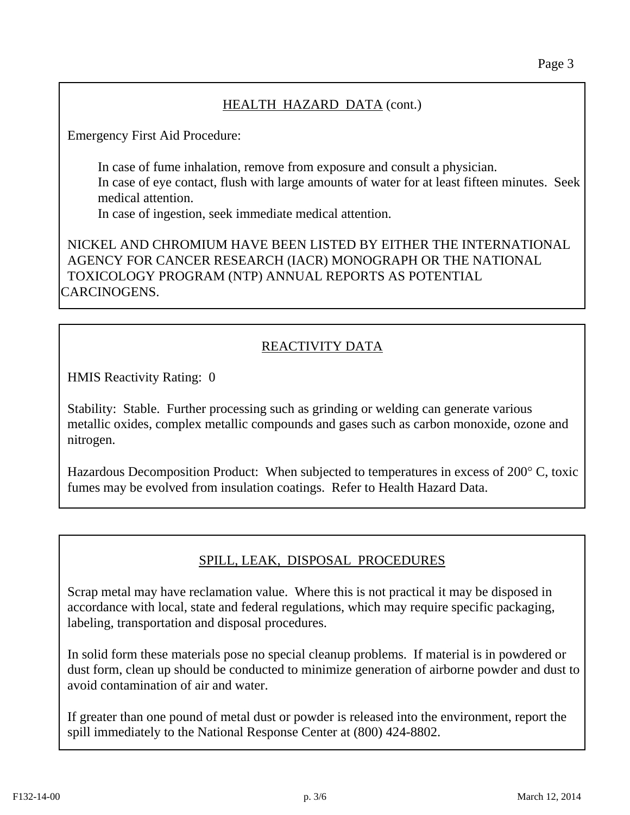## HEALTH HAZARD DATA (cont.)

Emergency First Aid Procedure:

 In case of fume inhalation, remove from exposure and consult a physician. In case of eye contact, flush with large amounts of water for at least fifteen minutes. Seek medical attention.

In case of ingestion, seek immediate medical attention.

 NICKEL AND CHROMIUM HAVE BEEN LISTED BY EITHER THE INTERNATIONAL AGENCY FOR CANCER RESEARCH (IACR) MONOGRAPH OR THE NATIONAL TOXICOLOGY PROGRAM (NTP) ANNUAL REPORTS AS POTENTIAL CARCINOGENS.

# REACTIVITY DATA

HMIS Reactivity Rating: 0

 Stability: Stable. Further processing such as grinding or welding can generate various metallic oxides, complex metallic compounds and gases such as carbon monoxide, ozone and nitrogen.

 Hazardous Decomposition Product: When subjected to temperatures in excess of 200° C, toxic fumes may be evolved from insulation coatings. Refer to Health Hazard Data.

# SPILL, LEAK, DISPOSAL PROCEDURES

 Scrap metal may have reclamation value. Where this is not practical it may be disposed in accordance with local, state and federal regulations, which may require specific packaging, labeling, transportation and disposal procedures.

 In solid form these materials pose no special cleanup problems. If material is in powdered or dust form, clean up should be conducted to minimize generation of airborne powder and dust to avoid contamination of air and water.

 If greater than one pound of metal dust or powder is released into the environment, report the spill immediately to the National Response Center at (800) 424-8802.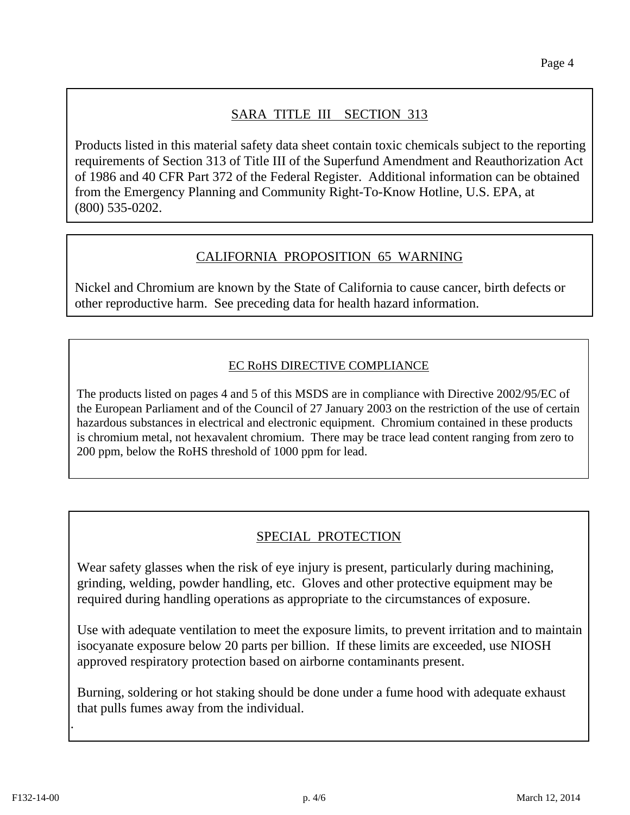# SARA TITLE III SECTION 313

 Products listed in this material safety data sheet contain toxic chemicals subject to the reporting requirements of Section 313 of Title III of the Superfund Amendment and Reauthorization Act of 1986 and 40 CFR Part 372 of the Federal Register. Additional information can be obtained from the Emergency Planning and Community Right-To-Know Hotline, U.S. EPA, at (800) 535-0202.

### CALIFORNIA PROPOSITION 65 WARNING

 Nickel and Chromium are known by the State of California to cause cancer, birth defects or other reproductive harm. See preceding data for health hazard information.

#### EC RoHS DIRECTIVE COMPLIANCE

The products listed on pages 4 and 5 of this MSDS are in compliance with Directive 2002/95/EC of the European Parliament and of the Council of 27 January 2003 on the restriction of the use of certain hazardous substances in electrical and electronic equipment. Chromium contained in these products is chromium metal, not hexavalent chromium. There may be trace lead content ranging from zero to 200 ppm, below the RoHS threshold of 1000 ppm for lead.

# SPECIAL PROTECTION

 Wear safety glasses when the risk of eye injury is present, particularly during machining, grinding, welding, powder handling, etc. Gloves and other protective equipment may be required during handling operations as appropriate to the circumstances of exposure.

 Use with adequate ventilation to meet the exposure limits, to prevent irritation and to maintain isocyanate exposure below 20 parts per billion. If these limits are exceeded, use NIOSH approved respiratory protection based on airborne contaminants present.

 Burning, soldering or hot staking should be done under a fume hood with adequate exhaust that pulls fumes away from the individual.

.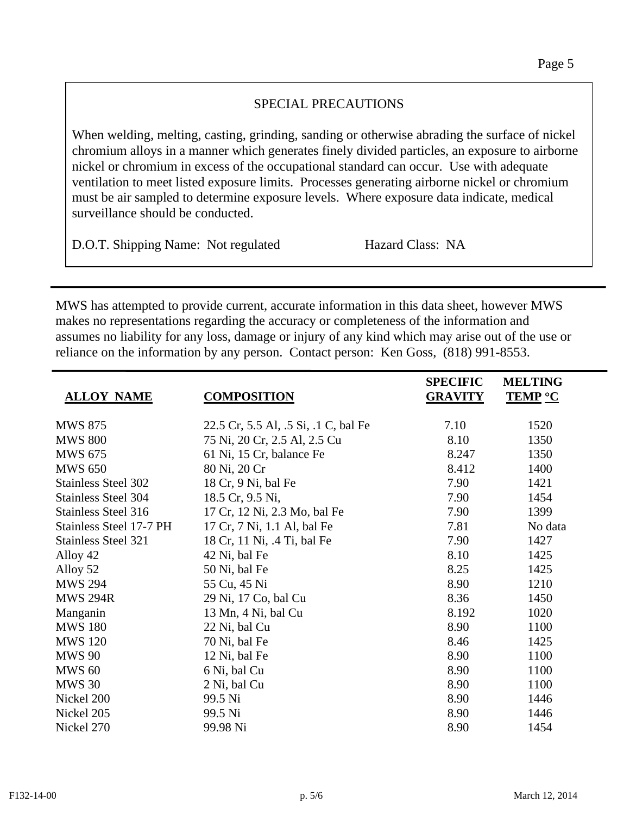## SPECIAL PRECAUTIONS

 When welding, melting, casting, grinding, sanding or otherwise abrading the surface of nickel chromium alloys in a manner which generates finely divided particles, an exposure to airborne nickel or chromium in excess of the occupational standard can occur. Use with adequate ventilation to meet listed exposure limits. Processes generating airborne nickel or chromium must be air sampled to determine exposure levels. Where exposure data indicate, medical surveillance should be conducted.

D.O.T. Shipping Name: Not regulated Hazard Class: NA

MWS has attempted to provide current, accurate information in this data sheet, however MWS makes no representations regarding the accuracy or completeness of the information and assumes no liability for any loss, damage or injury of any kind which may arise out of the use or reliance on the information by any person. Contact person: Ken Goss, (818) 991-8553.

|                            |                                      | <b>SPECIFIC</b> | <b>MELTING</b> |
|----------------------------|--------------------------------------|-----------------|----------------|
| <b>ALLOY NAME</b>          | <b>COMPOSITION</b>                   | <b>GRAVITY</b>  | <b>TEMP °C</b> |
| <b>MWS 875</b>             | 22.5 Cr, 5.5 Al, .5 Si, .1 C, bal Fe | 7.10            | 1520           |
| <b>MWS 800</b>             | 75 Ni, 20 Cr, 2.5 Al, 2.5 Cu         | 8.10            | 1350           |
| <b>MWS 675</b>             | 61 Ni, 15 Cr, balance Fe             | 8.247           | 1350           |
| <b>MWS 650</b>             | 80 Ni, 20 Cr                         | 8.412           | 1400           |
| <b>Stainless Steel 302</b> | 18 Cr, 9 Ni, bal Fe                  | 7.90            | 1421           |
| <b>Stainless Steel 304</b> | 18.5 Cr, 9.5 Ni,                     | 7.90            | 1454           |
| <b>Stainless Steel 316</b> | 17 Cr, 12 Ni, 2.3 Mo, bal Fe         | 7.90            | 1399           |
| Stainless Steel 17-7 PH    | 17 Cr, 7 Ni, 1.1 Al, bal Fe          | 7.81            | No data        |
| <b>Stainless Steel 321</b> | 18 Cr, 11 Ni, .4 Ti, bal Fe          | 7.90            | 1427           |
| Alloy 42                   | 42 Ni, bal Fe                        | 8.10            | 1425           |
| Alloy 52                   | 50 Ni, bal Fe                        | 8.25            | 1425           |
| <b>MWS 294</b>             | 55 Cu, 45 Ni                         | 8.90            | 1210           |
| <b>MWS 294R</b>            | 29 Ni, 17 Co, bal Cu                 | 8.36            | 1450           |
| Manganin                   | 13 Mn, 4 Ni, bal Cu                  | 8.192           | 1020           |
| <b>MWS 180</b>             | 22 Ni, bal Cu                        | 8.90            | 1100           |
| <b>MWS 120</b>             | 70 Ni, bal Fe                        | 8.46            | 1425           |
| <b>MWS 90</b>              | 12 Ni, bal Fe                        | 8.90            | 1100           |
| <b>MWS 60</b>              | 6 Ni, bal Cu                         | 8.90            | 1100           |
| <b>MWS 30</b>              | 2 Ni, bal Cu                         | 8.90            | 1100           |
| Nickel 200                 | 99.5 Ni                              | 8.90            | 1446           |
| Nickel 205                 | 99.5 Ni                              | 8.90            | 1446           |
| Nickel 270                 | 99.98 Ni                             | 8.90            | 1454           |